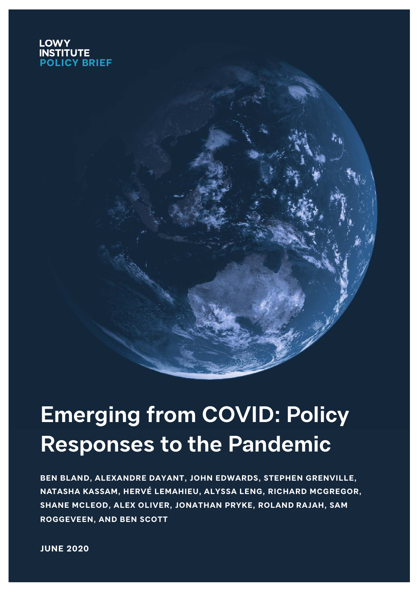### **LOWY ITUTE POLICY BRIEF**

# **Emerging from COVID: Policy Responses to the Pandemic**

**BEN BLAND, ALEXANDRE DAYANT, JOHN EDWARDS, STEPHEN GRENVILLE, NATASHA KASSAM, HERVÉ LEMAHIEU, ALYSSA LENG, RICHARD MCGREGOR, SHANE MCLEOD, ALEX OLIVER, JONATHAN PRYKE, ROLAND RAJAH, SAM ROGGEVEEN, AND BEN SCOTT**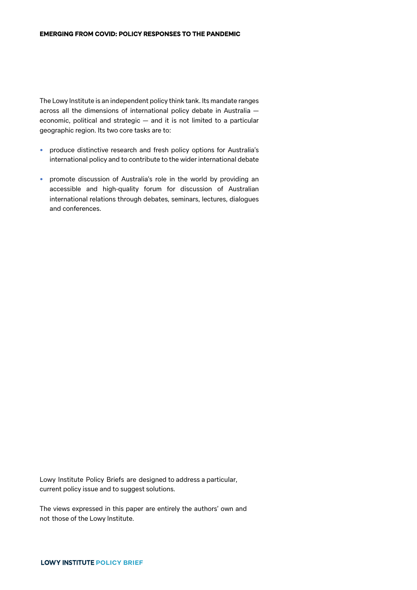The Lowy Institute is an independent policy think tank. Its mandate ranges across all the dimensions of international policy debate in Australia economic, political and strategic — and it is not limited to a particular geographic region. Its two core tasks are to:

- produce distinctive research and fresh policy options for Australia's international policy and to contribute to the wider international debate
- promote discussion of Australia's role in the world by providing an accessible and high-quality forum for discussion of Australian international relations through debates, seminars, lectures, dialogues and conferences.

Lowy Institute Policy Briefs are designed to address a particular, current policy issue and to suggest solutions.

The views expressed in this paper are entirely the authors' own and not those of the Lowy Institute.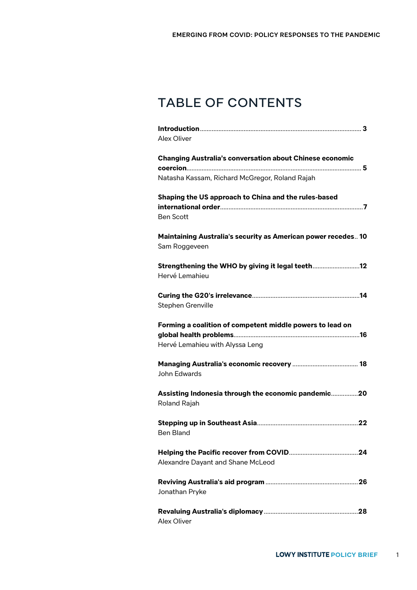# TABLE OF CONTENTS

| Alex Oliver                                                         |
|---------------------------------------------------------------------|
| <b>Changing Australia's conversation about Chinese economic</b>     |
|                                                                     |
| Natasha Kassam, Richard McGregor, Roland Rajah                      |
| Shaping the US approach to China and the rules-based                |
|                                                                     |
| <b>Ben Scott</b>                                                    |
| Maintaining Australia's security as American power recedes 10       |
| Sam Roggeveen                                                       |
|                                                                     |
| Hervé Lemahieu                                                      |
|                                                                     |
| Stephen Grenville                                                   |
| Forming a coalition of competent middle powers to lead on           |
| Hervé Lemahieu with Alyssa Leng                                     |
|                                                                     |
| John Edwards                                                        |
| Assisting Indonesia through the economic pandemic20<br>Roland Rajah |
| <b>Ben Bland</b>                                                    |
| Alexandre Dayant and Shane McLeod                                   |
| Jonathan Pryke                                                      |
| Alex Oliver                                                         |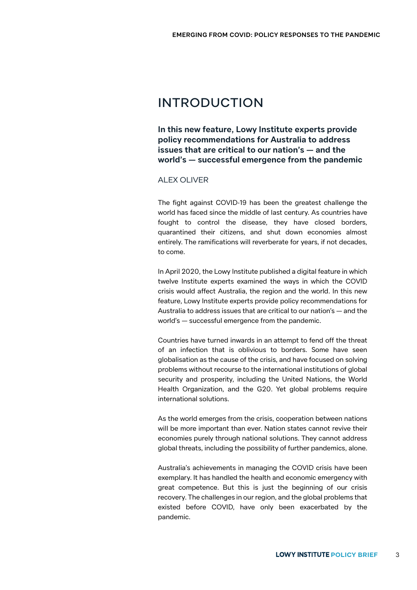### INTRODUCTION

**In this new feature, Lowy Institute experts provide policy recommendations for Australia to address issues that are critical to our nation's — and the world's — successful emergence from the pandemic**

### ALEX OLIVER

The fight against COVID-19 has been the greatest challenge the world has faced since the middle of last century. As countries have fought to control the disease, they have closed borders, quarantined their citizens, and shut down economies almost entirely. The ramifications will reverberate for years, if not decades, to come.

In April 2020, the Lowy Institute published a digital feature in which twelve Institute experts examined the ways in which the COVID crisis would affect Australia, the region and the world. In this new feature, Lowy Institute experts provide policy recommendations for Australia to address issues that are critical to our nation's — and the world's — successful emergence from the pandemic.

Countries have turned inwards in an attempt to fend off the threat of an infection that is oblivious to borders. Some have seen globalisation as the cause of the crisis, and have focused on solving problems without recourse to the international institutions of global security and prosperity, including the United Nations, the World Health Organization, and the G20. Yet global problems require international solutions.

As the world emerges from the crisis, cooperation between nations will be more important than ever. Nation states cannot revive their economies purely through national solutions. They cannot address global threats, including the possibility of further pandemics, alone.

Australia's achievements in managing the COVID crisis have been exemplary. It has handled the health and economic emergency with great competence. But this is just the beginning of our crisis recovery. The challenges in our region, and the global problems that existed before COVID, have only been exacerbated by the pandemic.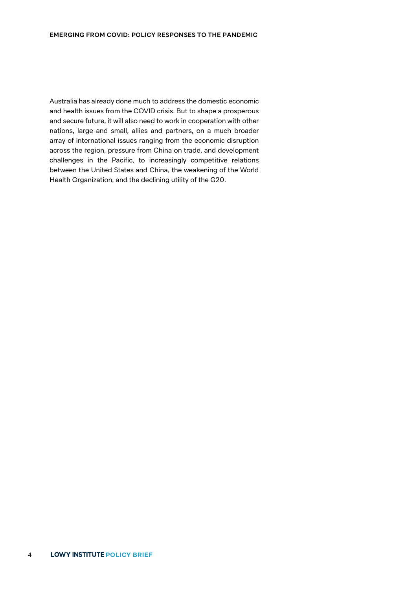Australia has already done much to address the domestic economic and health issues from the COVID crisis. But to shape a prosperous and secure future, it will also need to work in cooperation with other nations, large and small, allies and partners, on a much broader array of international issues ranging from the economic disruption across the region, pressure from China on trade, and development challenges in the Pacific, to increasingly competitive relations between the United States and China, the weakening of the World Health Organization, and the declining utility of the G20.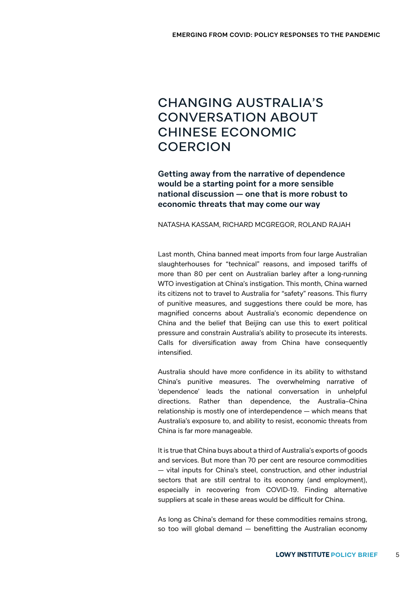## CHANGING AUSTRALIA'S CONVERSATION ABOUT CHINESE ECONOMIC COERCION

**Getting away from the narrative of dependence would be a starting point for a more sensible national discussion — one that is more robust to economic threats that may come our way**

NATASHA KASSAM, RICHARD MCGREGOR, ROLAND RAJAH

Last month, China banned meat imports from four large Australian slaughterhouses for "technical" reasons, and imposed tariffs of more than 80 per cent on Australian barley after a long-running WTO investigation at China's instigation. This month, China warned its citizens not to travel to Australia for "safety" reasons. This flurry of punitive measures, and suggestions there could be more, has magnified concerns about Australia's economic dependence on China and the belief that Beijing can use this to exert political pressure and constrain Australia's ability to prosecute its interests. Calls for diversification away from China have consequently intensified.

Australia should have more confidence in its ability to withstand China's punitive measures. The overwhelming narrative of 'dependence' leads the national conversation in unhelpful directions. Rather than dependence, the Australia–China relationship is mostly one of interdependence — which means that Australia's exposure to, and ability to resist, economic threats from China is far more manageable.

It is true that China buys about a third of Australia's exports of goods and services. But more than 70 per cent are resource commodities — vital inputs for China's steel, construction, and other industrial sectors that are still central to its economy (and employment), especially in recovering from COVID-19. Finding alternative suppliers at scale in these areas would be difficult for China.

As long as China's demand for these commodities remains strong, so too will global demand — benefitting the Australian economy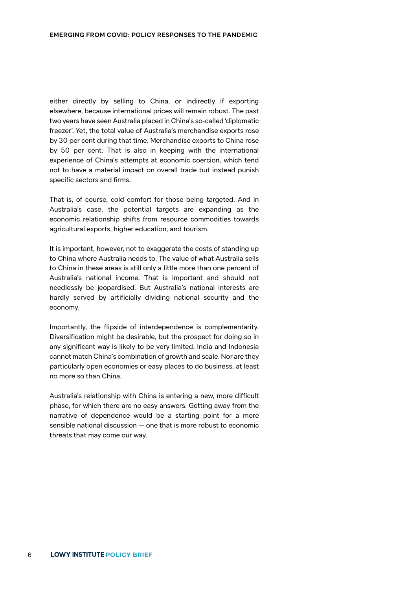either directly by selling to China, or indirectly if exporting elsewhere, because international prices will remain robust. The past two years have seen Australia placed in China's so-called 'diplomatic freezer'. Yet, the total value of Australia's merchandise exports rose by 30 per cent during that time. Merchandise exports to China rose by 50 per cent. That is also in keeping with the international experience of China's attempts at economic coercion, which tend not to have a material impact on overall trade but instead punish specific sectors and firms.

That is, of course, cold comfort for those being targeted. And in Australia's case, the potential targets are expanding as the economic relationship shifts from resource commodities towards agricultural exports, higher education, and tourism.

It is important, however, not to exaggerate the costs of standing up to China where Australia needs to. The value of what Australia sells to China in these areas is still only a little more than one percent of Australia's national income. That is important and should not needlessly be jeopardised. But Australia's national interests are hardly served by artificially dividing national security and the economy.

Importantly, the flipside of interdependence is complementarity. Diversification might be desirable, but the prospect for doing so in any significant way is likely to be very limited. India and Indonesia cannot match China's combination of growth and scale. Nor are they particularly open economies or easy places to do business, at least no more so than China.

Australia's relationship with China is entering a new, more difficult phase, for which there are no easy answers. Getting away from the narrative of dependence would be a starting point for a more sensible national discussion — one that is more robust to economic threats that may come our way.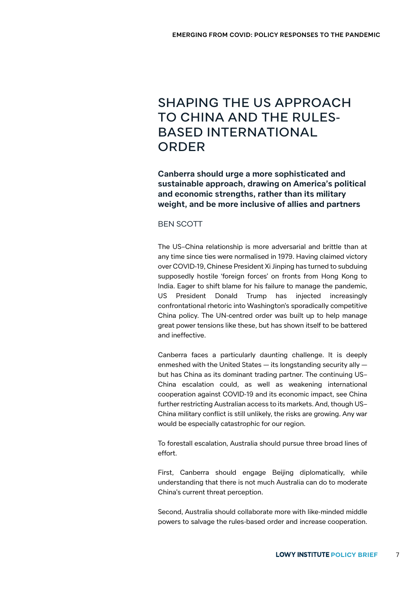### SHAPING THE US APPROACH TO CHINA AND THE RULES-BASED INTERNATIONAL ORDER

**Canberra should urge a more sophisticated and sustainable approach, drawing on America's political and economic strengths, rather than its military weight, and be more inclusive of allies and partners**

#### BEN SCOTT

The US–China relationship is more adversarial and brittle than at any time since ties were normalised in 1979. Having claimed victory over COVID-19, Chinese President Xi Jinping has turned to subduing supposedly hostile 'foreign forces' on fronts from Hong Kong to India. Eager to shift blame for his failure to manage the pandemic, US President Donald Trump has injected increasingly confrontational rhetoric into Washington's sporadically competitive China policy. The UN-centred order was built up to help manage great power tensions like these, but has shown itself to be battered and ineffective.

Canberra faces a particularly daunting challenge. It is deeply enmeshed with the United States — its longstanding security ally but has China as its dominant trading partner. The continuing US– China escalation could, as well as weakening international cooperation against COVID-19 and its economic impact, see China further restricting Australian access to its markets. And, though US– China military conflict is still unlikely, the risks are growing. Any war would be especially catastrophic for our region.

To forestall escalation, Australia should pursue three broad lines of effort.

First, Canberra should engage Beijing diplomatically, while understanding that there is not much Australia can do to moderate China's current threat perception.

Second, Australia should collaborate more with like-minded middle powers to salvage the rules-based order and increase cooperation.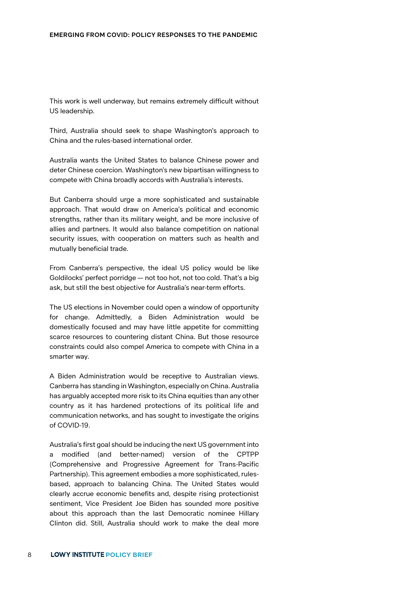This work is well underway, but remains extremely difficult without US leadership.

Third, Australia should seek to shape Washington's approach to China and the rules-based international order.

Australia wants the United States to balance Chinese power and deter Chinese coercion. Washington's new bipartisan willingness to compete with China broadly accords with Australia's interests.

But Canberra should urge a more sophisticated and sustainable approach. That would draw on America's political and economic strengths, rather than its military weight, and be more inclusive of allies and partners. It would also balance competition on national security issues, with cooperation on matters such as health and mutually beneficial trade.

From Canberra's perspective, the ideal US policy would be like Goldilocks' perfect porridge — not too hot, not too cold. That's a big ask, but still the best objective for Australia's near-term efforts.

The US elections in November could open a window of opportunity for change. Admittedly, a Biden Administration would be domestically focused and may have little appetite for committing scarce resources to countering distant China. But those resource constraints could also compel America to compete with China in a smarter way.

A Biden Administration would be receptive to Australian views. Canberra has standing in Washington, especially on China. Australia has arguably accepted more risk to its China equities than any other country as it has hardened protections of its political life and communication networks, and has sought to investigate the origins of COVID-19.

Australia's first goal should be inducing the next US government into a modified (and better-named) version of the CPTPP (Comprehensive and Progressive Agreement for Trans-Pacific Partnership). This agreement embodies a more sophisticated, rulesbased, approach to balancing China. The United States would clearly accrue economic benefits and, despite rising protectionist sentiment, Vice President Joe Biden has sounded more positive about this approach than the last Democratic nominee Hillary Clinton did. Still, Australia should work to make the deal more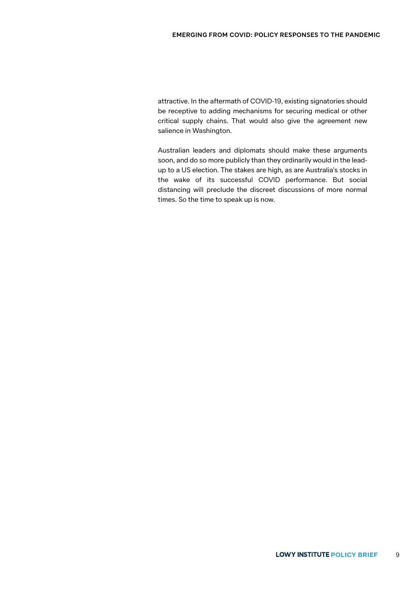attractive. In the aftermath of COVID-19, existing signatories should be receptive to adding mechanisms for securing medical or other critical supply chains. That would also give the agreement new salience in Washington.

Australian leaders and diplomats should make these arguments soon, and do so more publicly than they ordinarily would in the leadup to a US election. The stakes are high, as are Australia's stocks in the wake of its successful COVID performance. But social distancing will preclude the discreet discussions of more normal times. So the time to speak up is now.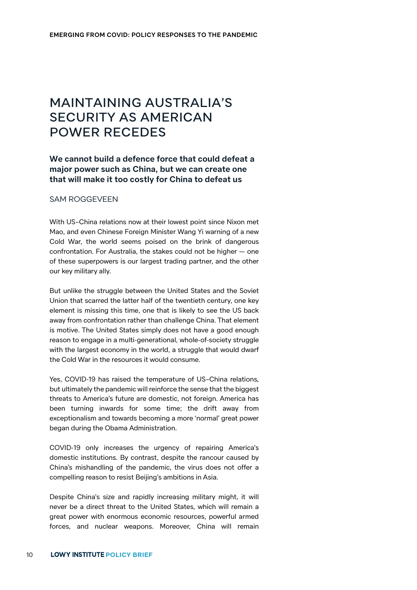# MAINTAINING AUSTRALIA'S SECURITY AS AMERICAN POWER RECEDES

### **We cannot build a defence force that could defeat a major power such as China, but we can create one that will make it too costly for China to defeat us**

#### SAM ROGGEVEEN

With US–China relations now at their lowest point since Nixon met Mao, and even Chinese Foreign Minister Wang Yi warning of a new Cold War, the world seems poised on the brink of dangerous confrontation. For Australia, the stakes could not be higher — one of these superpowers is our largest trading partner, and the other our key military ally.

But unlike the struggle between the United States and the Soviet Union that scarred the latter half of the twentieth century, one key element is missing this time, one that is likely to see the US back away from confrontation rather than challenge China. That element is motive. The United States simply does not have a good enough reason to engage in a multi-generational, whole-of-society struggle with the largest economy in the world, a struggle that would dwarf the Cold War in the resources it would consume.

Yes, COVID-19 has raised the temperature of US–China relations, but ultimately the pandemic will reinforce the sense that the biggest threats to America's future are domestic, not foreign. America has been turning inwards for some time; the drift away from exceptionalism and towards becoming a more 'normal' great power began during the Obama Administration.

COVID-19 only increases the urgency of repairing America's domestic institutions. By contrast, despite the rancour caused by China's mishandling of the pandemic, the virus does not offer a compelling reason to resist Beijing's ambitions in Asia.

Despite China's size and rapidly increasing military might, it will never be a direct threat to the United States, which will remain a great power with enormous economic resources, powerful armed forces, and nuclear weapons. Moreover, China will remain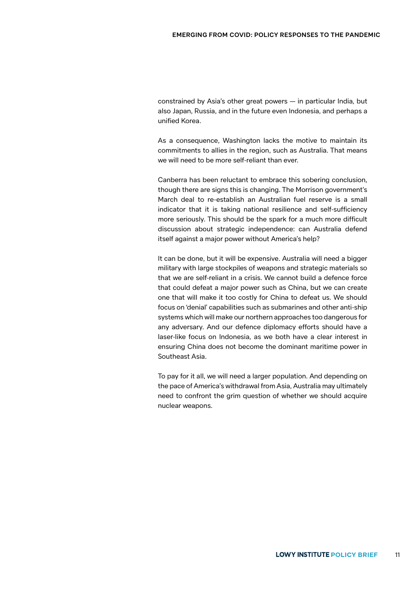constrained by Asia's other great powers — in particular India, but also Japan, Russia, and in the future even Indonesia, and perhaps a unified Korea.

As a consequence, Washington lacks the motive to maintain its commitments to allies in the region, such as Australia. That means we will need to be more self-reliant than ever.

Canberra has been reluctant to embrace this sobering conclusion, though there are signs this is changing. The Morrison government's March deal to re-establish an Australian fuel reserve is a small indicator that it is taking national resilience and self-sufficiency more seriously. This should be the spark for a much more difficult discussion about strategic independence: can Australia defend itself against a major power without America's help?

It can be done, but it will be expensive. Australia will need a bigger military with large stockpiles of weapons and strategic materials so that we are self-reliant in a crisis. We cannot build a defence force that could defeat a major power such as China, but we can create one that will make it too costly for China to defeat us. We should focus on 'denial' capabilities such as submarines and other anti-ship systems which will make our northern approaches too dangerous for any adversary. And our defence diplomacy efforts should have a laser-like focus on Indonesia, as we both have a clear interest in ensuring China does not become the dominant maritime power in Southeast Asia.

To pay for it all, we will need a larger population. And depending on the pace of America's withdrawal from Asia, Australia may ultimately need to confront the grim question of whether we should acquire nuclear weapons.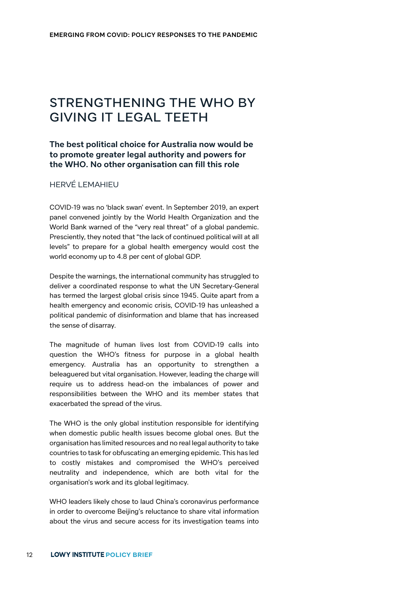# STRENGTHENING THE WHO BY GIVING IT LEGAL TEETH

### **The best political choice for Australia now would be to promote greater legal authority and powers for the WHO. No other organisation can fill this role**

### HERVÉ LEMAHIEU

COVID-19 was no 'black swan' event. In September 2019, an expert panel convened jointly by the World Health Organization and the World Bank warned of the "very real threat" of a global pandemic. Presciently, they noted that "the lack of continued political will at all levels" to prepare for a global health emergency would cost the world economy up to 4.8 per cent of global GDP.

Despite the warnings, the international community has struggled to deliver a coordinated response to what the UN Secretary-General has termed the largest global crisis since 1945. Quite apart from a health emergency and economic crisis, COVID-19 has unleashed a political pandemic of disinformation and blame that has increased the sense of disarray.

The magnitude of human lives lost from COVID-19 calls into question the WHO's fitness for purpose in a global health emergency. Australia has an opportunity to strengthen a beleaguered but vital organisation. However, leading the charge will require us to address head-on the imbalances of power and responsibilities between the WHO and its member states that exacerbated the spread of the virus.

The WHO is the only global institution responsible for identifying when domestic public health issues become global ones. But the organisation has limited resources and no real legal authority to take countries to task for obfuscating an emerging epidemic. This has led to costly mistakes and compromised the WHO's perceived neutrality and independence, which are both vital for the organisation's work and its global legitimacy.

WHO leaders likely chose to laud China's coronavirus performance in order to overcome Beijing's reluctance to share vital information about the virus and secure access for its investigation teams into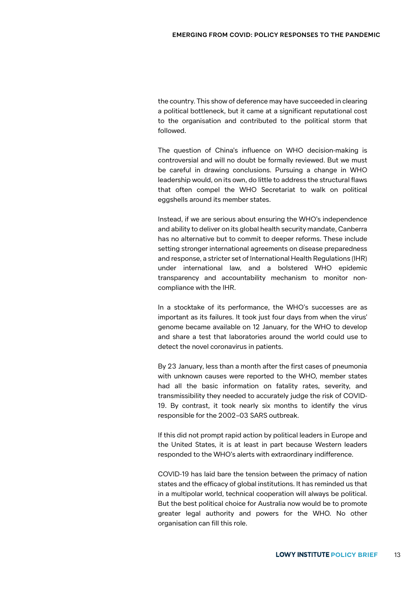the country. This show of deference may have succeeded in clearing a political bottleneck, but it came at a significant reputational cost to the organisation and contributed to the political storm that followed.

The question of China's influence on WHO decision-making is controversial and will no doubt be formally reviewed. But we must be careful in drawing conclusions. Pursuing a change in WHO leadership would, on its own, do little to address the structural flaws that often compel the WHO Secretariat to walk on political eggshells around its member states.

Instead, if we are serious about ensuring the WHO's independence and ability to deliver on its global health security mandate, Canberra has no alternative but to commit to deeper reforms. These include setting stronger international agreements on disease preparedness and response, a stricter set of International Health Regulations (IHR) under international law, and a bolstered WHO epidemic transparency and accountability mechanism to monitor noncompliance with the IHR.

In a stocktake of its performance, the WHO's successes are as important as its failures. It took just four days from when the virus' genome became available on 12 January, for the WHO to develop and share a test that laboratories around the world could use to detect the novel coronavirus in patients.

By 23 January, less than a month after the first cases of pneumonia with unknown causes were reported to the WHO, member states had all the basic information on fatality rates, severity, and transmissibility they needed to accurately judge the risk of COVID-19. By contrast, it took nearly six months to identify the virus responsible for the 2002–03 SARS outbreak.

If this did not prompt rapid action by political leaders in Europe and the United States, it is at least in part because Western leaders responded to the WHO's alerts with extraordinary indifference.

COVID-19 has laid bare the tension between the primacy of nation states and the efficacy of global institutions. It has reminded us that in a multipolar world, technical cooperation will always be political. But the best political choice for Australia now would be to promote greater legal authority and powers for the WHO. No other organisation can fill this role.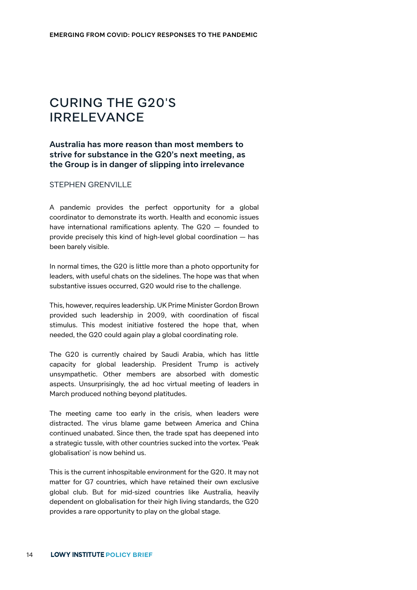### CURING THE G20'S IRRELEVANCE

### **Australia has more reason than most members to strive for substance in the G20's next meeting, as the Group is in danger of slipping into irrelevance**

#### STEPHEN GRENVILLE

A pandemic provides the perfect opportunity for a global coordinator to demonstrate its worth. Health and economic issues have international ramifications aplenty. The G20 — founded to provide precisely this kind of high-level global coordination — has been barely visible.

In normal times, the G20 is little more than a photo opportunity for leaders, with useful chats on the sidelines. The hope was that when substantive issues occurred, G20 would rise to the challenge.

This, however, requires leadership. UK Prime Minister Gordon Brown provided such leadership in 2009, with coordination of fiscal stimulus. This modest initiative fostered the hope that, when needed, the G20 could again play a global coordinating role.

The G20 is currently chaired by Saudi Arabia, which has little capacity for global leadership. President Trump is actively unsympathetic. Other members are absorbed with domestic aspects. Unsurprisingly, the ad hoc virtual meeting of leaders in March produced nothing beyond platitudes.

The meeting came too early in the crisis, when leaders were distracted. The virus blame game between America and China continued unabated. Since then, the trade spat has deepened into a strategic tussle, with other countries sucked into the vortex. 'Peak globalisation' is now behind us.

This is the current inhospitable environment for the G20. It may not matter for G7 countries, which have retained their own exclusive global club. But for mid-sized countries like Australia, heavily dependent on globalisation for their high living standards, the G20 provides a rare opportunity to play on the global stage.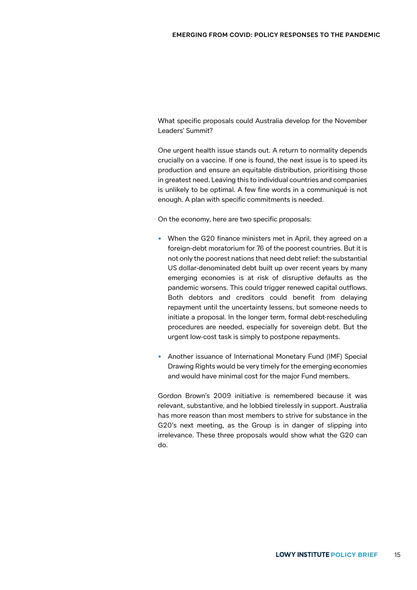What specific proposals could Australia develop for the November Leaders' Summit?

One urgent health issue stands out. A return to normality depends crucially on a vaccine. If one is found, the next issue is to speed its production and ensure an equitable distribution, prioritising those in greatest need. Leaving this to individual countries and companies is unlikely to be optimal. A few fine words in a communiqué is not enough. A plan with specific commitments is needed.

On the economy, here are two specific proposals:

- When the G20 finance ministers met in April, they agreed on a foreign-debt moratorium for 76 of the poorest countries. But it is not only the poorest nations that need debt relief: the substantial US dollar-denominated debt built up over recent years by many emerging economies is at risk of disruptive defaults as the pandemic worsens. This could trigger renewed capital outflows. Both debtors and creditors could benefit from delaying repayment until the uncertainty lessens, but someone needs to initiate a proposal. In the longer term, formal debt-rescheduling procedures are needed, especially for sovereign debt. But the urgent low-cost task is simply to postpone repayments.
- Another issuance of International Monetary Fund (IMF) Special Drawing Rights would be very timely for the emerging economies and would have minimal cost for the major Fund members.

Gordon Brown's 2009 initiative is remembered because it was relevant, substantive, and he lobbied tirelessly in support. Australia has more reason than most members to strive for substance in the G20's next meeting, as the Group is in danger of slipping into irrelevance. These three proposals would show what the G20 can do.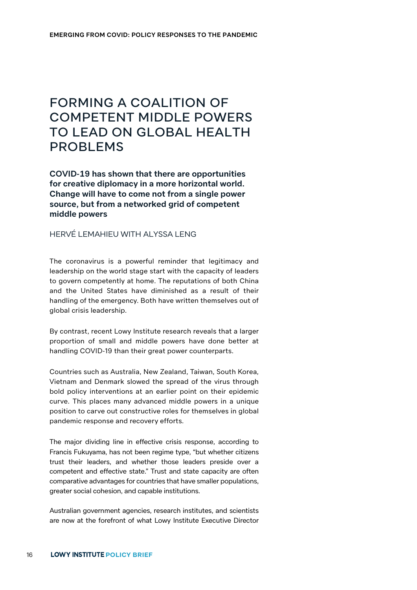# FORMING A COALITION OF COMPETENT MIDDLE POWERS TO LEAD ON GLOBAL HEALTH PROBLEMS

**COVID-19 has shown that there are opportunities for creative diplomacy in a more horizontal world. Change will have to come not from a single power source, but from a networked grid of competent middle powers**

### HERVÉ LEMAHIEU WITH ALYSSA LENG

The coronavirus is a powerful reminder that legitimacy and leadership on the world stage start with the capacity of leaders to govern competently at home. The reputations of both China and the United States have diminished as a result of their handling of the emergency. Both have written themselves out of global crisis leadership.

By contrast, recent Lowy Institute research reveals that a larger proportion of small and middle powers have done better at handling COVID-19 than their great power counterparts.

Countries such as Australia, New Zealand, Taiwan, South Korea, Vietnam and Denmark slowed the spread of the virus through bold policy interventions at an earlier point on their epidemic curve. This places many advanced middle powers in a unique position to carve out constructive roles for themselves in global pandemic response and recovery efforts.

The major dividing line in effective crisis response, according to Francis Fukuyama, has not been regime type, "but whether citizens trust their leaders, and whether those leaders preside over a competent and effective state." Trust and state capacity are often comparative advantages for countries that have smaller populations, greater social cohesion, and capable institutions.

Australian government agencies, research institutes, and scientists are now at the forefront of what Lowy Institute Executive Director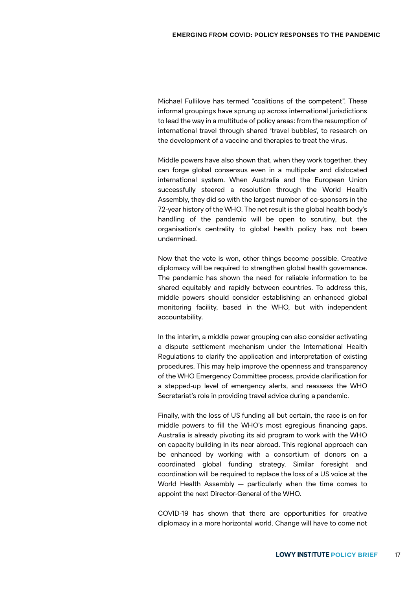Michael Fullilove has termed "coalitions of the competent". These informal groupings have sprung up across international jurisdictions to lead the way in a multitude of policy areas: from the resumption of international travel through shared 'travel bubbles', to research on the development of a vaccine and therapies to treat the virus.

Middle powers have also shown that, when they work together, they can forge global consensus even in a multipolar and dislocated international system. When Australia and the European Union successfully steered a resolution through the World Health Assembly, they did so with the largest number of co-sponsors in the 72-year history of the WHO. The net result is the global health body's handling of the pandemic will be open to scrutiny, but the organisation's centrality to global health policy has not been undermined.

Now that the vote is won, other things become possible. Creative diplomacy will be required to strengthen global health governance. The pandemic has shown the need for reliable information to be shared equitably and rapidly between countries. To address this, middle powers should consider establishing an enhanced global monitoring facility, based in the WHO, but with independent accountability.

In the interim, a middle power grouping can also consider activating a dispute settlement mechanism under the International Health Regulations to clarify the application and interpretation of existing procedures. This may help improve the openness and transparency of the WHO Emergency Committee process, provide clarification for a stepped-up level of emergency alerts, and reassess the WHO Secretariat's role in providing travel advice during a pandemic.

Finally, with the loss of US funding all but certain, the race is on for middle powers to fill the WHO's most egregious financing gaps. Australia is already pivoting its aid program to work with the WHO on capacity building in its near abroad. This regional approach can be enhanced by working with a consortium of donors on a coordinated global funding strategy. Similar foresight and coordination will be required to replace the loss of a US voice at the World Health Assembly — particularly when the time comes to appoint the next Director-General of the WHO.

COVID-19 has shown that there are opportunities for creative diplomacy in a more horizontal world. Change will have to come not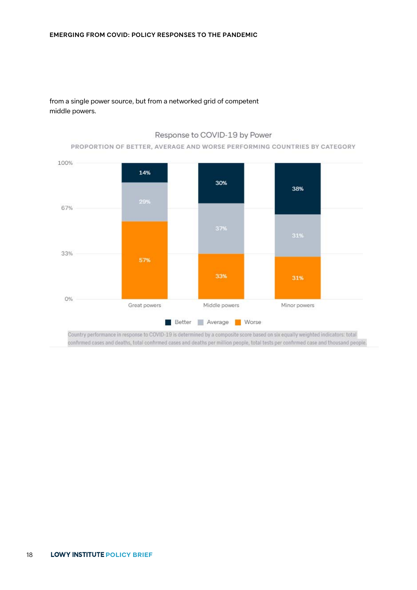from a single power source, but from a networked grid of competent middle powers.

#### Response to COVID-19 by Power

#### PROPORTION OF BETTER, AVERAGE AND WORSE PERFORMING COUNTRIES BY CATEGORY

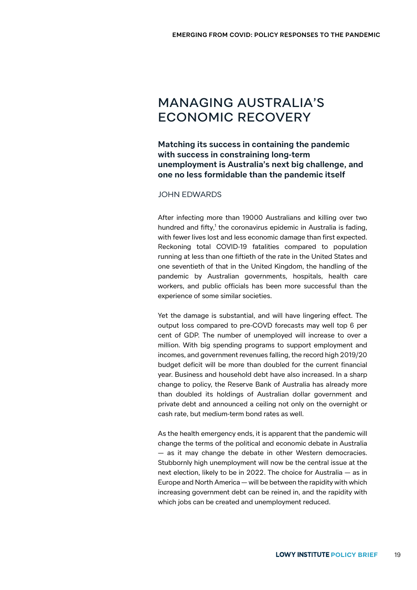# MANAGING AUSTRALIA'S ECONOMIC RECOVERY

**Matching its success in containing the pandemic with success in constraining long-term unemployment is Australia's next big challenge, and one no less formidable than the pandemic itself**

#### JOHN EDWARDS

After infecting more than 19000 Australians and killing over two hundred and fifty,<sup>1</sup> the coronavirus epidemic in Australia is fading, with fewer lives lost and less economic damage than first expected. Reckoning total COVID-19 fatalities compared to population running at less than one fiftieth of the rate in the United States and one seventieth of that in the United Kingdom, the handling of the pandemic by Australian governments, hospitals, health care workers, and public officials has been more successful than the experience of some similar societies.

Yet the damage is substantial, and will have lingering effect. The output loss compared to pre-COVD forecasts may well top 6 per cent of GDP. The number of unemployed will increase to over a million. With big spending programs to support employment and incomes, and government revenues falling, the record high 2019/20 budget deficit will be more than doubled for the current financial year. Business and household debt have also increased. In a sharp change to policy, the Reserve Bank of Australia has already more than doubled its holdings of Australian dollar government and private debt and announced a ceiling not only on the overnight or cash rate, but medium-term bond rates as well.

As the health emergency ends, it is apparent that the pandemic will change the terms of the political and economic debate in Australia — as it may change the debate in other Western democracies. Stubbornly high unemployment will now be the central issue at the next election, likely to be in 2022. The choice for Australia — as in Europe and North America — will be between the rapidity with which increasing government debt can be reined in, and the rapidity with which jobs can be created and unemployment reduced.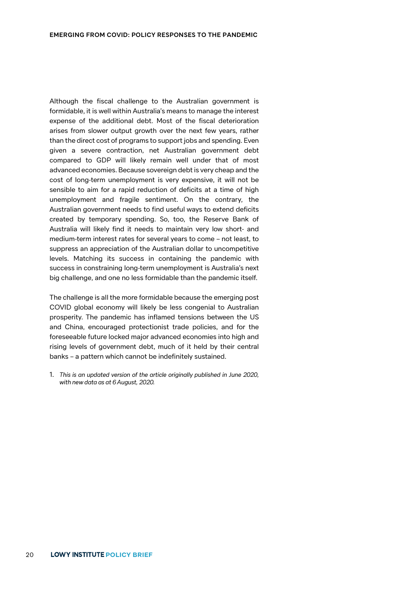Although the fiscal challenge to the Australian government is formidable, it is well within Australia's means to manage the interest expense of the additional debt. Most of the fiscal deterioration arises from slower output growth over the next few years, rather than the direct cost of programs to support jobs and spending. Even given a severe contraction, net Australian government debt compared to GDP will likely remain well under that of most advanced economies. Because sovereign debt is very cheap and the cost of long-term unemployment is very expensive, it will not be sensible to aim for a rapid reduction of deficits at a time of high unemployment and fragile sentiment. On the contrary, the Australian government needs to find useful ways to extend deficits created by temporary spending. So, too, the Reserve Bank of Australia will likely find it needs to maintain very low short- and medium-term interest rates for several years to come – not least, to suppress an appreciation of the Australian dollar to uncompetitive levels. Matching its success in containing the pandemic with success in constraining long-term unemployment is Australia's next big challenge, and one no less formidable than the pandemic itself.

The challenge is all the more formidable because the emerging post COVID global economy will likely be less congenial to Australian prosperity. The pandemic has inflamed tensions between the US and China, encouraged protectionist trade policies, and for the foreseeable future locked major advanced economies into high and rising levels of government debt, much of it held by their central banks – a pattern which cannot be indefinitely sustained.

1. *This is an updated version of the article originally published in June 2020, with new data as at 6 August, 2020.*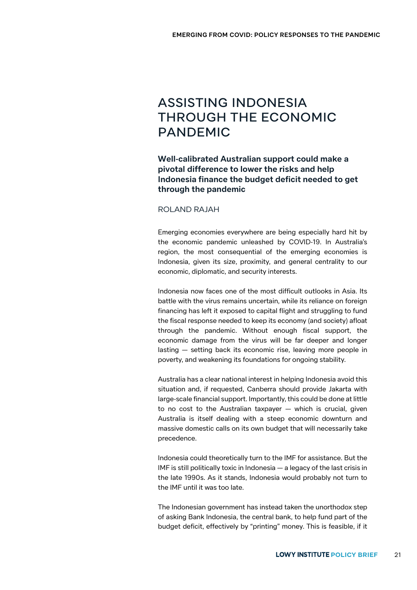# ASSISTING INDONESIA THROUGH THE ECONOMIC PANDEMIC

**Well-calibrated Australian support could make a pivotal difference to lower the risks and help Indonesia finance the budget deficit needed to get through the pandemic**

#### ROLAND RAJAH

Emerging economies everywhere are being especially hard hit by the economic pandemic unleashed by COVID-19. In Australia's region, the most consequential of the emerging economies is Indonesia, given its size, proximity, and general centrality to our economic, diplomatic, and security interests.

Indonesia now faces one of the most difficult outlooks in Asia. Its battle with the virus remains uncertain, while its reliance on foreign financing has left it exposed to capital flight and struggling to fund the fiscal response needed to keep its economy (and society) afloat through the pandemic. Without enough fiscal support, the economic damage from the virus will be far deeper and longer lasting — setting back its economic rise, leaving more people in poverty, and weakening its foundations for ongoing stability.

Australia has a clear national interest in helping Indonesia avoid this situation and, if requested, Canberra should provide Jakarta with large-scale financial support. Importantly, this could be done at little to no cost to the Australian taxpayer — which is crucial, given Australia is itself dealing with a steep economic downturn and massive domestic calls on its own budget that will necessarily take precedence.

Indonesia could theoretically turn to the IMF for assistance. But the IMF is still politically toxic in Indonesia — a legacy of the last crisis in the late 1990s. As it stands, Indonesia would probably not turn to the IMF until it was too late.

The Indonesian government has instead taken the unorthodox step of asking Bank Indonesia, the central bank, to help fund part of the budget deficit, effectively by "printing" money. This is feasible, if it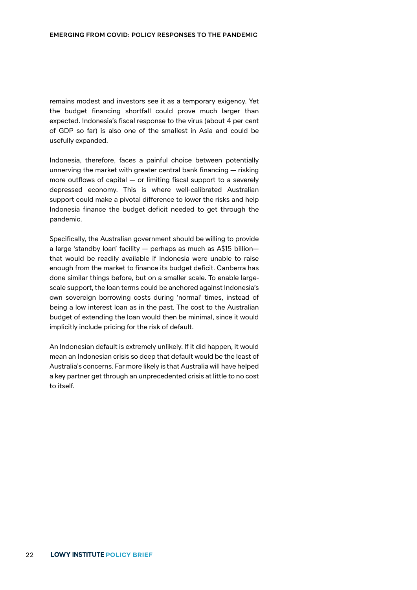remains modest and investors see it as a temporary exigency. Yet the budget financing shortfall could prove much larger than expected. Indonesia's fiscal response to the virus (about 4 per cent of GDP so far) is also one of the smallest in Asia and could be usefully expanded.

Indonesia, therefore, faces a painful choice between potentially unnerving the market with greater central bank financing — risking more outflows of capital — or limiting fiscal support to a severely depressed economy. This is where well-calibrated Australian support could make a pivotal difference to lower the risks and help Indonesia finance the budget deficit needed to get through the pandemic.

Specifically, the Australian government should be willing to provide a large 'standby loan' facility — perhaps as much as A\$15 billion that would be readily available if Indonesia were unable to raise enough from the market to finance its budget deficit. Canberra has done similar things before, but on a smaller scale. To enable largescale support, the loan terms could be anchored against Indonesia's own sovereign borrowing costs during 'normal' times, instead of being a low interest loan as in the past. The cost to the Australian budget of extending the loan would then be minimal, since it would implicitly include pricing for the risk of default.

An Indonesian default is extremely unlikely. If it did happen, it would mean an Indonesian crisis so deep that default would be the least of Australia's concerns. Far more likely is that Australia will have helped a key partner get through an unprecedented crisis at little to no cost to itself.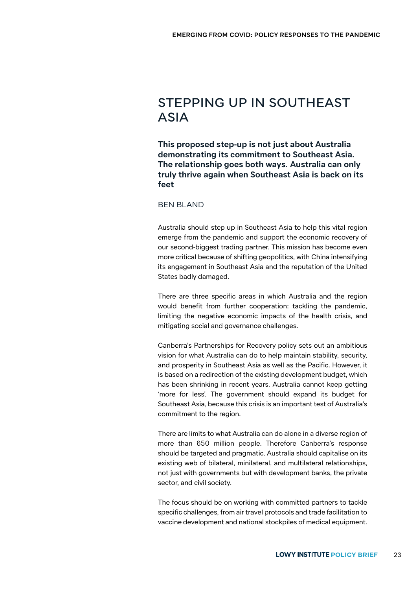### STEPPING UP IN SOUTHEAST ASIA

**This proposed step-up is not just about Australia demonstrating its commitment to Southeast Asia. The relationship goes both ways. Australia can only truly thrive again when Southeast Asia is back on its feet**

BEN BLAND

Australia should step up in Southeast Asia to help this vital region emerge from the pandemic and support the economic recovery of our second-biggest trading partner. This mission has become even more critical because of shifting geopolitics, with China intensifying its engagement in Southeast Asia and the reputation of the United States badly damaged.

There are three specific areas in which Australia and the region would benefit from further cooperation: tackling the pandemic, limiting the negative economic impacts of the health crisis, and mitigating social and governance challenges.

Canberra's Partnerships for Recovery policy sets out an ambitious vision for what Australia can do to help maintain stability, security, and prosperity in Southeast Asia as well as the Pacific. However, it is based on a redirection of the existing development budget, which has been shrinking in recent years. Australia cannot keep getting 'more for less'. The government should expand its budget for Southeast Asia, because this crisis is an important test of Australia's commitment to the region.

There are limits to what Australia can do alone in a diverse region of more than 650 million people. Therefore Canberra's response should be targeted and pragmatic. Australia should capitalise on its existing web of bilateral, minilateral, and multilateral relationships, not just with governments but with development banks, the private sector, and civil society.

The focus should be on working with committed partners to tackle specific challenges, from air travel protocols and trade facilitation to vaccine development and national stockpiles of medical equipment.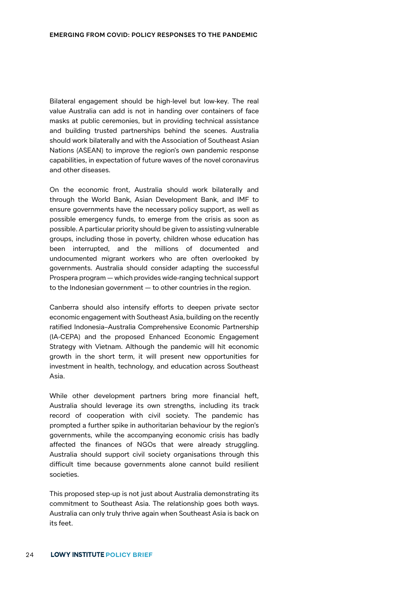Bilateral engagement should be high-level but low-key. The real value Australia can add is not in handing over containers of face masks at public ceremonies, but in providing technical assistance and building trusted partnerships behind the scenes. Australia should work bilaterally and with the Association of Southeast Asian Nations (ASEAN) to improve the region's own pandemic response capabilities, in expectation of future waves of the novel coronavirus and other diseases.

On the economic front, Australia should work bilaterally and through the World Bank, Asian Development Bank, and IMF to ensure governments have the necessary policy support, as well as possible emergency funds, to emerge from the crisis as soon as possible. A particular priority should be given to assisting vulnerable groups, including those in poverty, children whose education has been interrupted, and the millions of documented and undocumented migrant workers who are often overlooked by governments. Australia should consider adapting the successful Prospera program — which provides wide-ranging technical support to the Indonesian government — to other countries in the region.

Canberra should also intensify efforts to deepen private sector economic engagement with Southeast Asia, building on the recently ratified Indonesia–Australia Comprehensive Economic Partnership (IA-CEPA) and the proposed Enhanced Economic Engagement Strategy with Vietnam. Although the pandemic will hit economic growth in the short term, it will present new opportunities for investment in health, technology, and education across Southeast Asia.

While other development partners bring more financial heft, Australia should leverage its own strengths, including its track record of cooperation with civil society. The pandemic has prompted a further spike in authoritarian behaviour by the region's governments, while the accompanying economic crisis has badly affected the finances of NGOs that were already struggling. Australia should support civil society organisations through this difficult time because governments alone cannot build resilient societies.

This proposed step-up is not just about Australia demonstrating its commitment to Southeast Asia. The relationship goes both ways. Australia can only truly thrive again when Southeast Asia is back on its feet.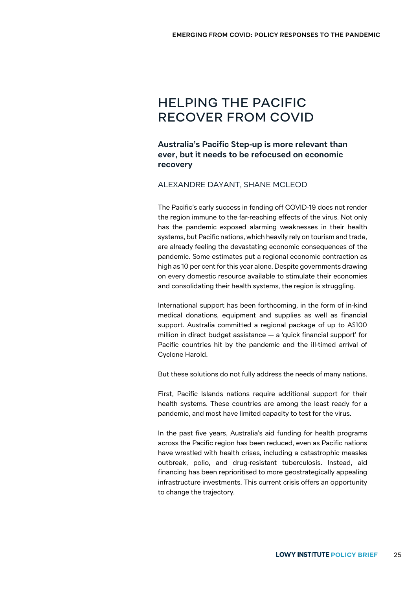# HELPING THE PACIFIC RECOVER FROM COVID

### **Australia's Pacific Step-up is more relevant than ever, but it needs to be refocused on economic recovery**

#### ALEXANDRE DAYANT, SHANE MCLEOD

The Pacific's early success in fending off COVID-19 does not render the region immune to the far-reaching effects of the virus. Not only has the pandemic exposed alarming weaknesses in their health systems, but Pacific nations, which heavily rely on tourism and trade, are already feeling the devastating economic consequences of the pandemic. Some estimates put a regional economic contraction as high as 10 per cent for this year alone. Despite governments drawing on every domestic resource available to stimulate their economies and consolidating their health systems, the region is struggling.

International support has been forthcoming, in the form of in-kind medical donations, equipment and supplies as well as financial support. Australia committed a regional package of up to A\$100 million in direct budget assistance — a 'quick financial support' for Pacific countries hit by the pandemic and the ill-timed arrival of Cyclone Harold.

But these solutions do not fully address the needs of many nations.

First, Pacific Islands nations require additional support for their health systems. These countries are among the least ready for a pandemic, and most have limited capacity to test for the virus.

In the past five years, Australia's aid funding for health programs across the Pacific region has been reduced, even as Pacific nations have wrestled with health crises, including a catastrophic measles outbreak, polio, and drug-resistant tuberculosis. Instead, aid financing has been reprioritised to more geostrategically appealing infrastructure investments. This current crisis offers an opportunity to change the trajectory.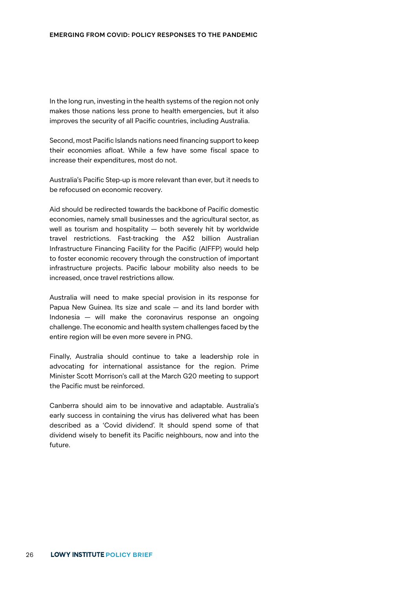In the long run, investing in the health systems of the region not only makes those nations less prone to health emergencies, but it also improves the security of all Pacific countries, including Australia.

Second, most Pacific Islands nations need financing support to keep their economies afloat. While a few have some fiscal space to increase their expenditures, most do not.

Australia's Pacific Step-up is more relevant than ever, but it needs to be refocused on economic recovery.

Aid should be redirected towards the backbone of Pacific domestic economies, namely small businesses and the agricultural sector, as well as tourism and hospitality — both severely hit by worldwide travel restrictions. Fast-tracking the A\$2 billion Australian Infrastructure Financing Facility for the Pacific (AIFFP) would help to foster economic recovery through the construction of important infrastructure projects. Pacific labour mobility also needs to be increased, once travel restrictions allow.

Australia will need to make special provision in its response for Papua New Guinea. Its size and scale — and its land border with Indonesia — will make the coronavirus response an ongoing challenge. The economic and health system challenges faced by the entire region will be even more severe in PNG.

Finally, Australia should continue to take a leadership role in advocating for international assistance for the region. Prime Minister Scott Morrison's call at the March G20 meeting to support the Pacific must be reinforced.

Canberra should aim to be innovative and adaptable. Australia's early success in containing the virus has delivered what has been described as a 'Covid dividend'. It should spend some of that dividend wisely to benefit its Pacific neighbours, now and into the future.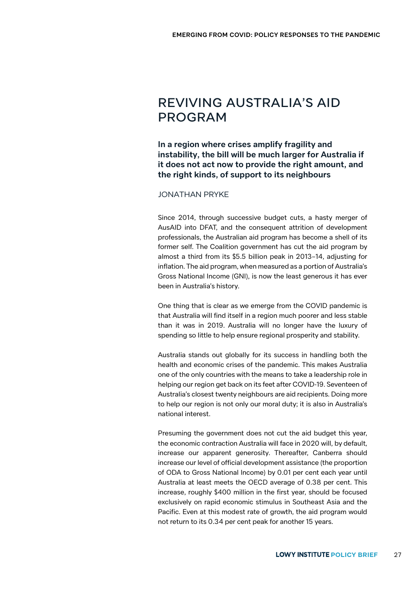## REVIVING AUSTRALIA'S AID PROGRAM

**In a region where crises amplify fragility and instability, the bill will be much larger for Australia if it does not act now to provide the right amount, and the right kinds, of support to its neighbours**

#### JONATHAN PRYKE

Since 2014, through successive budget cuts, a hasty merger of AusAID into DFAT, and the consequent attrition of development professionals, the Australian aid program has become a shell of its former self. The Coalition government has cut the aid program by almost a third from its \$5.5 billion peak in 2013–14, adjusting for inflation. The aid program, when measured as a portion of Australia's Gross National Income (GNI), is now the least generous it has ever been in Australia's history.

One thing that is clear as we emerge from the COVID pandemic is that Australia will find itself in a region much poorer and less stable than it was in 2019. Australia will no longer have the luxury of spending so little to help ensure regional prosperity and stability.

Australia stands out globally for its success in handling both the health and economic crises of the pandemic. This makes Australia one of the only countries with the means to take a leadership role in helping our region get back on its feet after COVID-19. Seventeen of Australia's closest twenty neighbours are aid recipients. Doing more to help our region is not only our moral duty; it is also in Australia's national interest.

Presuming the government does not cut the aid budget this year, the economic contraction Australia will face in 2020 will, by default, increase our apparent generosity. Thereafter, Canberra should increase our level of official development assistance (the proportion of ODA to Gross National Income) by 0.01 per cent each year until Australia at least meets the OECD average of 0.38 per cent. This increase, roughly \$400 million in the first year, should be focused exclusively on rapid economic stimulus in Southeast Asia and the Pacific. Even at this modest rate of growth, the aid program would not return to its 0.34 per cent peak for another 15 years.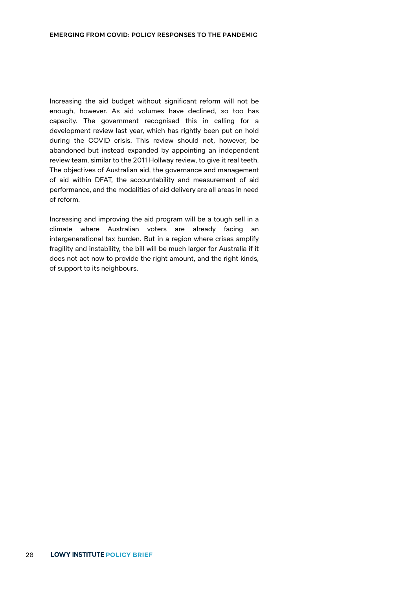Increasing the aid budget without significant reform will not be enough, however. As aid volumes have declined, so too has capacity. The government recognised this in calling for a development review last year, which has rightly been put on hold during the COVID crisis. This review should not, however, be abandoned but instead expanded by appointing an independent review team, similar to the 2011 Hollway review, to give it real teeth. The objectives of Australian aid, the governance and management of aid within DFAT, the accountability and measurement of aid performance, and the modalities of aid delivery are all areas in need of reform.

Increasing and improving the aid program will be a tough sell in a climate where Australian voters are already facing an intergenerational tax burden. But in a region where crises amplify fragility and instability, the bill will be much larger for Australia if it does not act now to provide the right amount, and the right kinds, of support to its neighbours.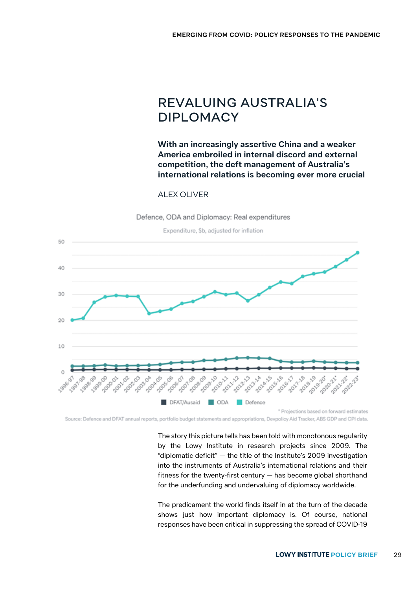# REVALUING AUSTRALIA'S DIPLOMACY

**With an increasingly assertive China and a weaker America embroiled in internal discord and external competition, the deft management of Australia's international relations is becoming ever more crucial**

#### ALEX OLIVER

Defence, ODA and Diplomacy: Real expenditures



Source: Defence and DFAT annual reports, portfolio budget statements and appropriations, Devpolicy Aid Tracker, ABS GDP and CPI data.

The story this picture tells has been told with monotonous regularity by the Lowy Institute in research projects since 2009. The "diplomatic deficit" — the title of the Institute's 2009 investigation into the instruments of Australia's international relations and their fitness for the twenty-first century — has become global shorthand for the underfunding and undervaluing of diplomacy worldwide.

The predicament the world finds itself in at the turn of the decade shows just how important diplomacy is. Of course, national responses have been critical in suppressing the spread of COVID-19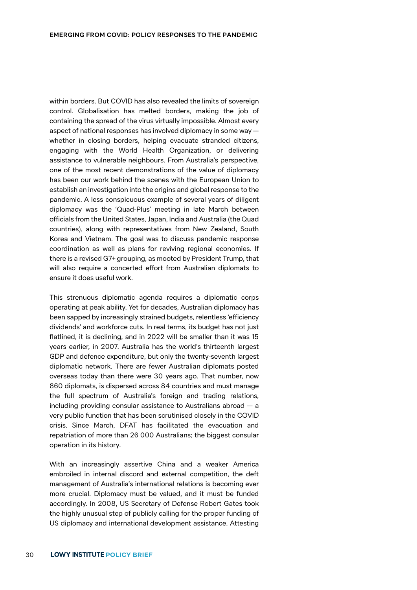within borders. But COVID has also revealed the limits of sovereign control. Globalisation has melted borders, making the job of containing the spread of the virus virtually impossible. Almost every aspect of national responses has involved diplomacy in some way whether in closing borders, helping evacuate stranded citizens, engaging with the World Health Organization, or delivering assistance to vulnerable neighbours. From Australia's perspective, one of the most recent demonstrations of the value of diplomacy has been our work behind the scenes with the European Union to establish an investigation into the origins and global response to the pandemic. A less conspicuous example of several years of diligent diplomacy was the 'Quad-Plus' meeting in late March between officials from the United States, Japan, India and Australia (the Quad countries), along with representatives from New Zealand, South Korea and Vietnam. The goal was to discuss pandemic response coordination as well as plans for reviving regional economies. If there is a revised G7+ grouping, as mooted by President Trump, that will also require a concerted effort from Australian diplomats to ensure it does useful work.

This strenuous diplomatic agenda requires a diplomatic corps operating at peak ability. Yet for decades, Australian diplomacy has been sapped by increasingly strained budgets, relentless 'efficiency dividends' and workforce cuts. In real terms, its budget has not just flatlined, it is declining, and in 2022 will be smaller than it was 15 years earlier, in 2007. Australia has the world's thirteenth largest GDP and defence expenditure, but only the twenty-seventh largest diplomatic network. There are fewer Australian diplomats posted overseas today than there were 30 years ago. That number, now 860 diplomats, is dispersed across 84 countries and must manage the full spectrum of Australia's foreign and trading relations, including providing consular assistance to Australians abroad — a very public function that has been scrutinised closely in the COVID crisis. Since March, DFAT has facilitated the evacuation and repatriation of more than 26 000 Australians; the biggest consular operation in its history.

With an increasingly assertive China and a weaker America embroiled in internal discord and external competition, the deft management of Australia's international relations is becoming ever more crucial. Diplomacy must be valued, and it must be funded accordingly. In 2008, US Secretary of Defense Robert Gates took the highly unusual step of publicly calling for the proper funding of US diplomacy and international development assistance. Attesting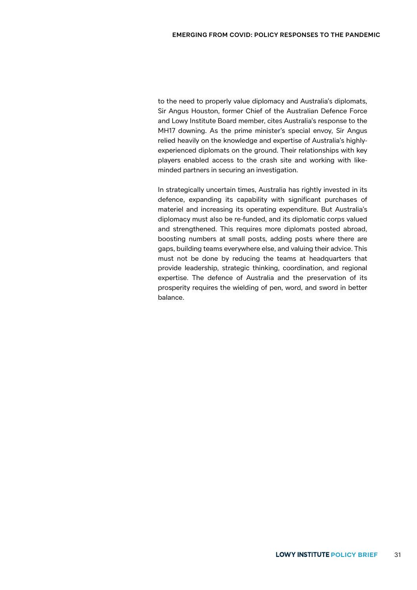to the need to properly value diplomacy and Australia's diplomats, Sir Angus Houston, former Chief of the Australian Defence Force and Lowy Institute Board member, cites Australia's response to the MH17 downing. As the prime minister's special envoy, Sir Angus relied heavily on the knowledge and expertise of Australia's highlyexperienced diplomats on the ground. Their relationships with key players enabled access to the crash site and working with likeminded partners in securing an investigation.

In strategically uncertain times, Australia has rightly invested in its defence, expanding its capability with significant purchases of materiel and increasing its operating expenditure. But Australia's diplomacy must also be re-funded, and its diplomatic corps valued and strengthened. This requires more diplomats posted abroad, boosting numbers at small posts, adding posts where there are gaps, building teams everywhere else, and valuing their advice. This must not be done by reducing the teams at headquarters that provide leadership, strategic thinking, coordination, and regional expertise. The defence of Australia and the preservation of its prosperity requires the wielding of pen, word, and sword in better balance.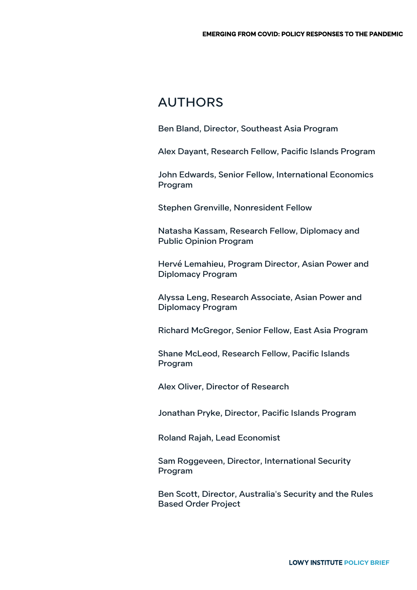### AUTHORS

Ben Bland, Director, Southeast Asia Program

Alex Dayant, Research Fellow, Pacific Islands Program

John Edwards, Senior Fellow, International Economics Program

Stephen Grenville, Nonresident Fellow

Natasha Kassam, Research Fellow, Diplomacy and Public Opinion Program

Hervé Lemahieu, Program Director, Asian Power and Diplomacy Program

Alyssa Leng, Research Associate, Asian Power and Diplomacy Program

Richard McGregor, Senior Fellow, East Asia Program

Shane McLeod, Research Fellow, Pacific Islands Program

Alex Oliver, Director of Research

Jonathan Pryke, Director, Pacific Islands Program

Roland Rajah, Lead Economist

Sam Roggeveen, Director, International Security Program

Ben Scott, Director, Australia's Security and the Rules Based Order Project